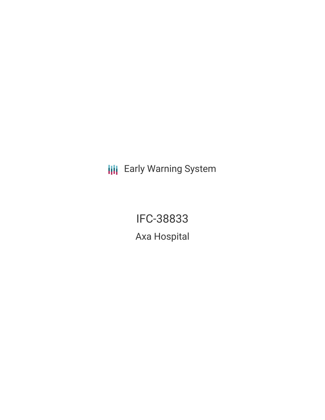**III** Early Warning System

IFC-38833 Axa Hospital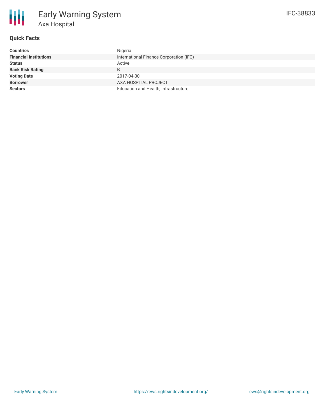

# **Quick Facts**

| <b>Countries</b>              | Nigeria                                 |
|-------------------------------|-----------------------------------------|
| <b>Financial Institutions</b> | International Finance Corporation (IFC) |
| <b>Status</b>                 | Active                                  |
| <b>Bank Risk Rating</b>       | B                                       |
| <b>Voting Date</b>            | 2017-04-30                              |
| <b>Borrower</b>               | AXA HOSPITAL PROJECT                    |
| <b>Sectors</b>                | Education and Health, Infrastructure    |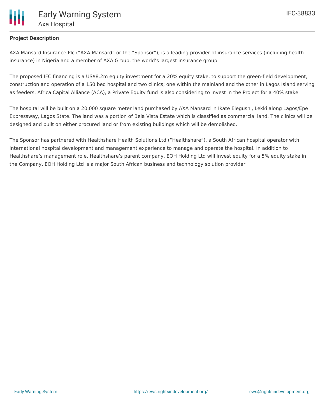## **Project Description**

AXA Mansard Insurance Plc ("AXA Mansard" or the "Sponsor"), is a leading provider of insurance services (including health insurance) in Nigeria and a member of AXA Group, the world's largest insurance group.

The proposed IFC financing is a US\$8.2m equity investment for a 20% equity stake, to support the green-field development, construction and operation of a 150 bed hospital and two clinics; one within the mainland and the other in Lagos Island serving as feeders. Africa Capital Alliance (ACA), a Private Equity fund is also considering to invest in the Project for a 40% stake.

The hospital will be built on a 20,000 square meter land purchased by AXA Mansard in Ikate Elegushi, Lekki along Lagos/Epe Expressway, Lagos State. The land was a portion of Bela Vista Estate which is classified as commercial land. The clinics will be designed and built on either procured land or from existing buildings which will be demolished.

The Sponsor has partnered with Healthshare Health Solutions Ltd ("Healthshare"), a South African hospital operator with international hospital development and management experience to manage and operate the hospital. In addition to Healthshare's management role, Healthshare's parent company, EOH Holding Ltd will invest equity for a 5% equity stake in the Company. EOH Holding Ltd is a major South African business and technology solution provider.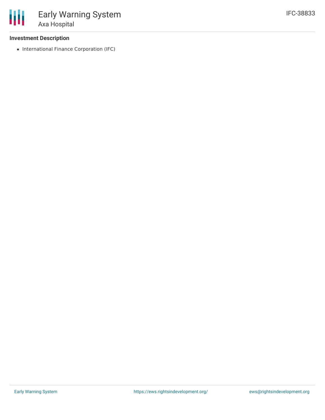### **Investment Description**

• International Finance Corporation (IFC)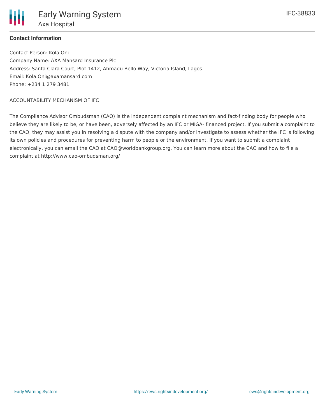

## **Contact Information**

Contact Person: Kola Oni Company Name: AXA Mansard Insurance Plc Address: Santa Clara Court, Plot 1412, Ahmadu Bello Way, Victoria Island, Lagos. Email: Kola.Oni@axamansard.com Phone: +234 1 279 3481

#### ACCOUNTABILITY MECHANISM OF IFC

The Compliance Advisor Ombudsman (CAO) is the independent complaint mechanism and fact-finding body for people who believe they are likely to be, or have been, adversely affected by an IFC or MIGA- financed project. If you submit a complaint to the CAO, they may assist you in resolving a dispute with the company and/or investigate to assess whether the IFC is following its own policies and procedures for preventing harm to people or the environment. If you want to submit a complaint electronically, you can email the CAO at CAO@worldbankgroup.org. You can learn more about the CAO and how to file a complaint at http://www.cao-ombudsman.org/